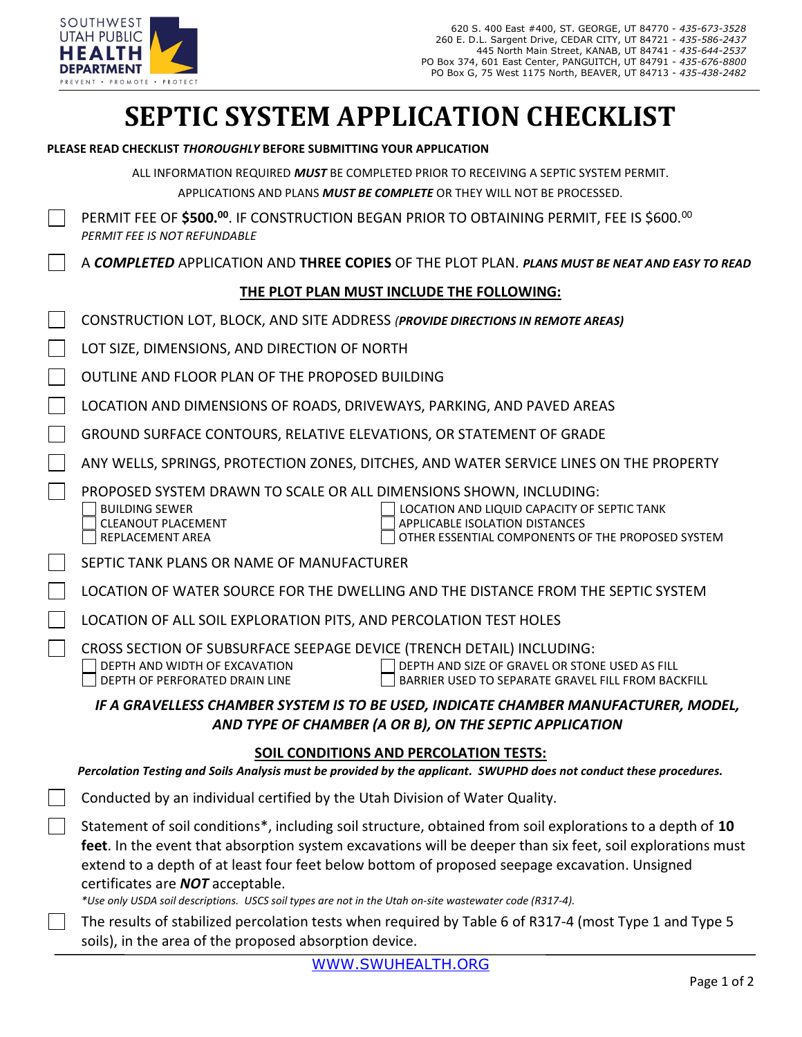

# SEPTIC SYSTEM APPLICATION CHECKLIST

|  | PLEASE READ CHECKLIST <i>THOROUGHLY</i> BEFORE SUBMITTING YOUR APPLICATION |  |
|--|----------------------------------------------------------------------------|--|
|  |                                                                            |  |

ALL INFORMATION REQUIRED MUST BE COMPLETED PRIOR TO RECEIVING A SEPTIC SYSTEM PERMIT. APPLICATIONS AND PLANS MUST BE COMPLETE OR THEY WILL NOT BE PROCESSED.

| PERMIT FEE OF \$500.00. IF CONSTRUCTION BEGAN PRIOR TO OBTAINING PERMIT, FEE IS \$600.00 |
|------------------------------------------------------------------------------------------|
| PERMIT FEE IS NOT REFUNDABLE                                                             |

| A COMPLETED APPLICATION AND THREE COPIES OF THE PLOT PLAN. PLANS MUST BE NEAT AND EASY TO READ |  |
|------------------------------------------------------------------------------------------------|--|
|------------------------------------------------------------------------------------------------|--|

#### THE PLOT PLAN MUST INCLUDE THE FOLLOWING:

| CONSTRUCTION LOT, BLOCK, AND SITE ADDRESS (PROVIDE DIRECTIONS IN REMOTE AREAS)                                                                                                                                                                                                                                           |  |  |  |  |  |  |  |
|--------------------------------------------------------------------------------------------------------------------------------------------------------------------------------------------------------------------------------------------------------------------------------------------------------------------------|--|--|--|--|--|--|--|
| LOT SIZE, DIMENSIONS, AND DIRECTION OF NORTH                                                                                                                                                                                                                                                                             |  |  |  |  |  |  |  |
| OUTLINE AND FLOOR PLAN OF THE PROPOSED BUILDING                                                                                                                                                                                                                                                                          |  |  |  |  |  |  |  |
| LOCATION AND DIMENSIONS OF ROADS, DRIVEWAYS, PARKING, AND PAVED AREAS                                                                                                                                                                                                                                                    |  |  |  |  |  |  |  |
| GROUND SURFACE CONTOURS, RELATIVE ELEVATIONS, OR STATEMENT OF GRADE                                                                                                                                                                                                                                                      |  |  |  |  |  |  |  |
| ANY WELLS, SPRINGS, PROTECTION ZONES, DITCHES, AND WATER SERVICE LINES ON THE PROPERTY                                                                                                                                                                                                                                   |  |  |  |  |  |  |  |
| PROPOSED SYSTEM DRAWN TO SCALE OR ALL DIMENSIONS SHOWN, INCLUDING:<br>LOCATION AND LIQUID CAPACITY OF SEPTIC TANK<br><b>BUILDING SEWER</b><br><b>CLEANOUT PLACEMENT</b><br>APPLICABLE ISOLATION DISTANCES<br>REPLACEMENT AREA<br>OTHER ESSENTIAL COMPONENTS OF THE PROPOSED SYSTEM                                       |  |  |  |  |  |  |  |
| SEPTIC TANK PLANS OR NAME OF MANUFACTURER                                                                                                                                                                                                                                                                                |  |  |  |  |  |  |  |
| LOCATION OF WATER SOURCE FOR THE DWELLING AND THE DISTANCE FROM THE SEPTIC SYSTEM                                                                                                                                                                                                                                        |  |  |  |  |  |  |  |
| LOCATION OF ALL SOIL EXPLORATION PITS, AND PERCOLATION TEST HOLES                                                                                                                                                                                                                                                        |  |  |  |  |  |  |  |
| CROSS SECTION OF SUBSURFACE SEEPAGE DEVICE (TRENCH DETAIL) INCLUDING:<br>DEPTH AND SIZE OF GRAVEL OR STONE USED AS FILL<br>DEPTH AND WIDTH OF EXCAVATION<br>DEPTH OF PERFORATED DRAIN LINE<br>BARRIER USED TO SEPARATE GRAVEL FILL FROM BACKFILL                                                                         |  |  |  |  |  |  |  |
| IF A GRAVELLESS CHAMBER SYSTEM IS TO BE USED, INDICATE CHAMBER MANUFACTURER, MODEL,<br>AND TYPE OF CHAMBER (A OR B), ON THE SEPTIC APPLICATION                                                                                                                                                                           |  |  |  |  |  |  |  |
| <b>SOIL CONDITIONS AND PERCOLATION TESTS:</b><br>Percolation Testing and Soils Analysis must be provided by the applicant. SWUPHD does not conduct these procedures.                                                                                                                                                     |  |  |  |  |  |  |  |
| Conducted by an individual certified by the Utah Division of Water Quality.                                                                                                                                                                                                                                              |  |  |  |  |  |  |  |
| Statement of soil conditions*, including soil structure, obtained from soil explorations to a depth of 10<br>feet. In the event that absorption system excavations will be deeper than six feet, soil explorations must<br>extend to a depth of at least four feet below bottom of proposed seepage excavation. Unsigned |  |  |  |  |  |  |  |

certificates are NOT acceptable.

\*Use only USDA soil descriptions. USCS soil types are not in the Utah on-site wastewater code (R317-4).

The results of stabilized percolation tests when required by Table 6 of R317-4 (most Type 1 and Type 5 soils), in the area of the proposed absorption device.